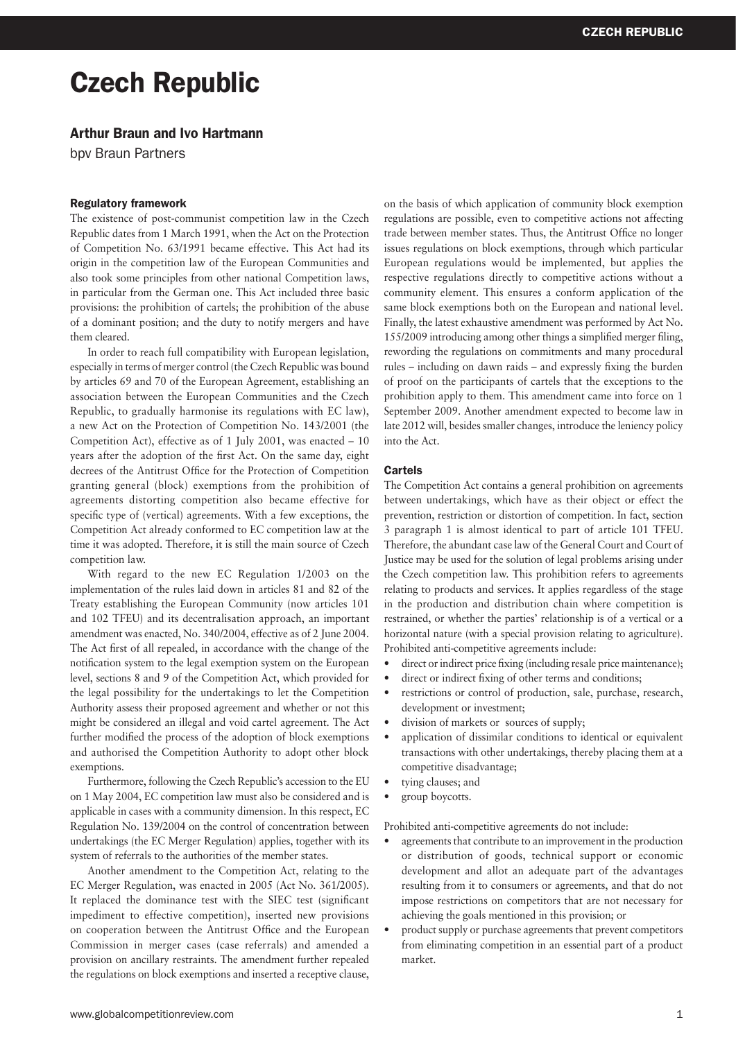# Czech Republic

# Arthur Braun and Ivo Hartmann

bpv Braun Partners

#### Regulatory framework

The existence of post-communist competition law in the Czech Republic dates from 1 March 1991, when the Act on the Protection of Competition No. 63/1991 became effective. This Act had its origin in the competition law of the European Communities and also took some principles from other national Competition laws, in particular from the German one. This Act included three basic provisions: the prohibition of cartels; the prohibition of the abuse of a dominant position; and the duty to notify mergers and have them cleared.

In order to reach full compatibility with European legislation, especially in terms of merger control (the Czech Republic was bound by articles 69 and 70 of the European Agreement, establishing an association between the European Communities and the Czech Republic, to gradually harmonise its regulations with EC law), a new Act on the Protection of Competition No. 143/2001 (the Competition Act), effective as of 1 July 2001, was enacted – 10 years after the adoption of the first Act. On the same day, eight decrees of the Antitrust Office for the Protection of Competition granting general (block) exemptions from the prohibition of agreements distorting competition also became effective for specific type of (vertical) agreements. With a few exceptions, the Competition Act already conformed to EC competition law at the time it was adopted. Therefore, it is still the main source of Czech competition law.

With regard to the new EC Regulation 1/2003 on the implementation of the rules laid down in articles 81 and 82 of the Treaty establishing the European Community (now articles 101 and 102 TFEU) and its decentralisation approach, an important amendment was enacted, No. 340/2004, effective as of 2 June 2004. The Act first of all repealed, in accordance with the change of the notification system to the legal exemption system on the European level, sections 8 and 9 of the Competition Act, which provided for the legal possibility for the undertakings to let the Competition Authority assess their proposed agreement and whether or not this might be considered an illegal and void cartel agreement. The Act further modified the process of the adoption of block exemptions and authorised the Competition Authority to adopt other block exemptions.

Furthermore, following the Czech Republic's accession to the EU on 1 May 2004, EC competition law must also be considered and is applicable in cases with a community dimension. In this respect, EC Regulation No. 139/2004 on the control of concentration between undertakings (the EC Merger Regulation) applies, together with its system of referrals to the authorities of the member states.

Another amendment to the Competition Act, relating to the EC Merger Regulation, was enacted in 2005 (Act No. 361/2005). It replaced the dominance test with the SIEC test (significant impediment to effective competition), inserted new provisions on cooperation between the Antitrust Office and the European Commission in merger cases (case referrals) and amended a provision on ancillary restraints. The amendment further repealed the regulations on block exemptions and inserted a receptive clause,

on the basis of which application of community block exemption regulations are possible, even to competitive actions not affecting trade between member states. Thus, the Antitrust Office no longer issues regulations on block exemptions, through which particular European regulations would be implemented, but applies the respective regulations directly to competitive actions without a community element. This ensures a conform application of the same block exemptions both on the European and national level. Finally, the latest exhaustive amendment was performed by Act No. 155/2009 introducing among other things a simplified merger filing, rewording the regulations on commitments and many procedural rules – including on dawn raids – and expressly fixing the burden of proof on the participants of cartels that the exceptions to the prohibition apply to them. This amendment came into force on 1 September 2009. Another amendment expected to become law in late 2012 will, besides smaller changes, introduce the leniency policy into the Act.

#### Cartels

The Competition Act contains a general prohibition on agreements between undertakings, which have as their object or effect the prevention, restriction or distortion of competition. In fact, section 3 paragraph 1 is almost identical to part of article 101 TFEU. Therefore, the abundant case law of the General Court and Court of Justice may be used for the solution of legal problems arising under the Czech competition law. This prohibition refers to agreements relating to products and services. It applies regardless of the stage in the production and distribution chain where competition is restrained, or whether the parties' relationship is of a vertical or a horizontal nature (with a special provision relating to agriculture). Prohibited anti-competitive agreements include:

- direct or indirect price fixing (including resale price maintenance);
- direct or indirect fixing of other terms and conditions;
- restrictions or control of production, sale, purchase, research, development or investment;
- division of markets or sources of supply;
- • application of dissimilar conditions to identical or equivalent transactions with other undertakings, thereby placing them at a competitive disadvantage;
- • tying clauses; and
- group boycotts.

Prohibited anti-competitive agreements do not include:

- agreements that contribute to an improvement in the production or distribution of goods, technical support or economic development and allot an adequate part of the advantages resulting from it to consumers or agreements, and that do not impose restrictions on competitors that are not necessary for achieving the goals mentioned in this provision; or
- product supply or purchase agreements that prevent competitors from eliminating competition in an essential part of a product market.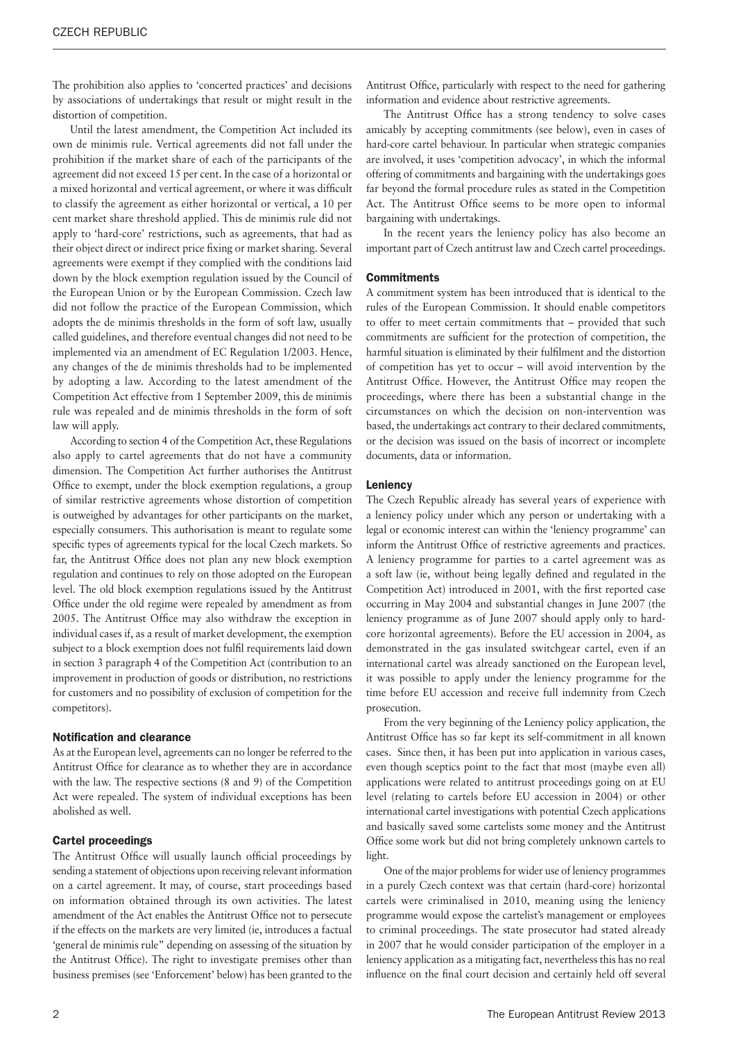The prohibition also applies to 'concerted practices' and decisions by associations of undertakings that result or might result in the distortion of competition.

Until the latest amendment, the Competition Act included its own de minimis rule. Vertical agreements did not fall under the prohibition if the market share of each of the participants of the agreement did not exceed 15 per cent. In the case of a horizontal or a mixed horizontal and vertical agreement, or where it was difficult to classify the agreement as either horizontal or vertical, a 10 per cent market share threshold applied. This de minimis rule did not apply to 'hard-core' restrictions, such as agreements, that had as their object direct or indirect price fixing or market sharing. Several agreements were exempt if they complied with the conditions laid down by the block exemption regulation issued by the Council of the European Union or by the European Commission. Czech law did not follow the practice of the European Commission, which adopts the de minimis thresholds in the form of soft law, usually called guidelines, and therefore eventual changes did not need to be implemented via an amendment of EC Regulation 1/2003. Hence, any changes of the de minimis thresholds had to be implemented by adopting a law. According to the latest amendment of the Competition Act effective from 1 September 2009, this de minimis rule was repealed and de minimis thresholds in the form of soft law will apply.

According to section 4 of the Competition Act, these Regulations also apply to cartel agreements that do not have a community dimension. The Competition Act further authorises the Antitrust Office to exempt, under the block exemption regulations, a group of similar restrictive agreements whose distortion of competition is outweighed by advantages for other participants on the market, especially consumers. This authorisation is meant to regulate some specific types of agreements typical for the local Czech markets. So far, the Antitrust Office does not plan any new block exemption regulation and continues to rely on those adopted on the European level. The old block exemption regulations issued by the Antitrust Office under the old regime were repealed by amendment as from 2005. The Antitrust Office may also withdraw the exception in individual cases if, as a result of market development, the exemption subject to a block exemption does not fulfil requirements laid down in section 3 paragraph 4 of the Competition Act (contribution to an improvement in production of goods or distribution, no restrictions for customers and no possibility of exclusion of competition for the competitors).

# Notification and clearance

As at the European level, agreements can no longer be referred to the Antitrust Office for clearance as to whether they are in accordance with the law. The respective sections (8 and 9) of the Competition Act were repealed. The system of individual exceptions has been abolished as well.

#### Cartel proceedings

The Antitrust Office will usually launch official proceedings by sending a statement of objections upon receiving relevant information on a cartel agreement. It may, of course, start proceedings based on information obtained through its own activities. The latest amendment of the Act enables the Antitrust Office not to persecute if the effects on the markets are very limited (ie, introduces a factual 'general de minimis rule" depending on assessing of the situation by the Antitrust Office). The right to investigate premises other than business premises (see 'Enforcement' below) has been granted to the Antitrust Office, particularly with respect to the need for gathering information and evidence about restrictive agreements.

The Antitrust Office has a strong tendency to solve cases amicably by accepting commitments (see below), even in cases of hard-core cartel behaviour. In particular when strategic companies are involved, it uses 'competition advocacy', in which the informal offering of commitments and bargaining with the undertakings goes far beyond the formal procedure rules as stated in the Competition Act. The Antitrust Office seems to be more open to informal bargaining with undertakings.

In the recent years the leniency policy has also become an important part of Czech antitrust law and Czech cartel proceedings.

### **Commitments**

A commitment system has been introduced that is identical to the rules of the European Commission. It should enable competitors to offer to meet certain commitments that – provided that such commitments are sufficient for the protection of competition, the harmful situation is eliminated by their fulfilment and the distortion of competition has yet to occur – will avoid intervention by the Antitrust Office. However, the Antitrust Office may reopen the proceedings, where there has been a substantial change in the circumstances on which the decision on non-intervention was based, the undertakings act contrary to their declared commitments, or the decision was issued on the basis of incorrect or incomplete documents, data or information.

#### **Leniency**

The Czech Republic already has several years of experience with a leniency policy under which any person or undertaking with a legal or economic interest can within the 'leniency programme' can inform the Antitrust Office of restrictive agreements and practices. A leniency programme for parties to a cartel agreement was as a soft law (ie, without being legally defined and regulated in the Competition Act) introduced in 2001, with the first reported case occurring in May 2004 and substantial changes in June 2007 (the leniency programme as of June 2007 should apply only to hardcore horizontal agreements). Before the EU accession in 2004, as demonstrated in the gas insulated switchgear cartel, even if an international cartel was already sanctioned on the European level, it was possible to apply under the leniency programme for the time before EU accession and receive full indemnity from Czech prosecution.

From the very beginning of the Leniency policy application, the Antitrust Office has so far kept its self-commitment in all known cases. Since then, it has been put into application in various cases, even though sceptics point to the fact that most (maybe even all) applications were related to antitrust proceedings going on at EU level (relating to cartels before EU accession in 2004) or other international cartel investigations with potential Czech applications and basically saved some cartelists some money and the Antitrust Office some work but did not bring completely unknown cartels to light.

One of the major problems for wider use of leniency programmes in a purely Czech context was that certain (hard-core) horizontal cartels were criminalised in 2010, meaning using the leniency programme would expose the cartelist's management or employees to criminal proceedings. The state prosecutor had stated already in 2007 that he would consider participation of the employer in a leniency application as a mitigating fact, nevertheless this has no real influence on the final court decision and certainly held off several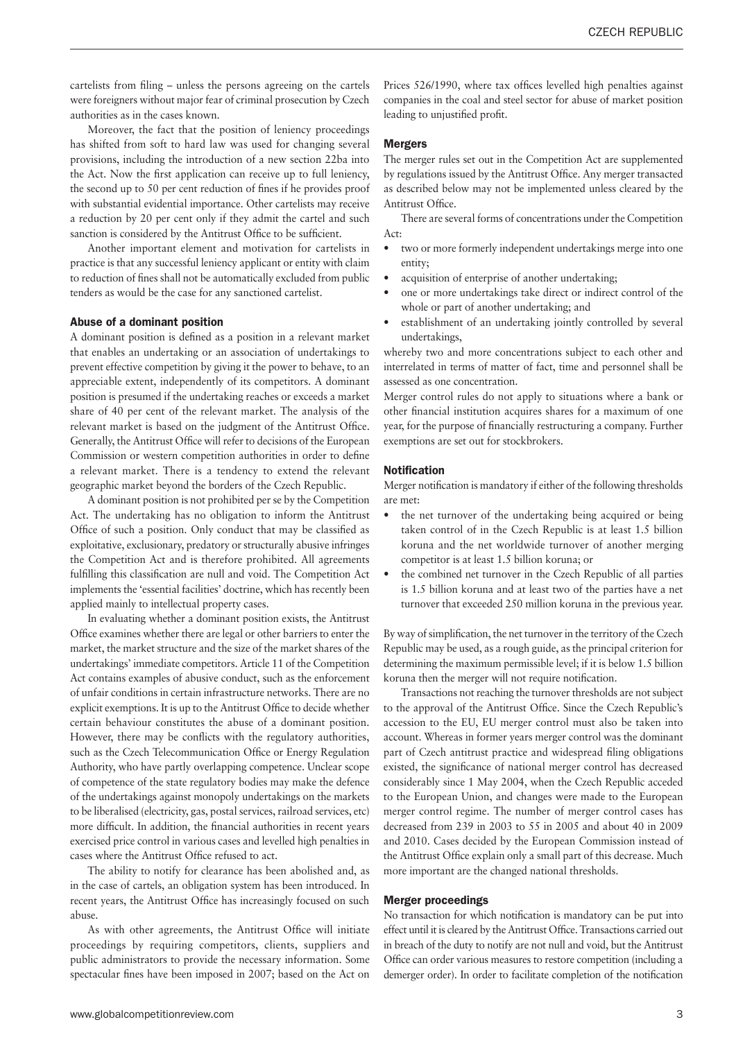cartelists from filing – unless the persons agreeing on the cartels were foreigners without major fear of criminal prosecution by Czech authorities as in the cases known.

Moreover, the fact that the position of leniency proceedings has shifted from soft to hard law was used for changing several provisions, including the introduction of a new section 22ba into the Act. Now the first application can receive up to full leniency, the second up to 50 per cent reduction of fines if he provides proof with substantial evidential importance. Other cartelists may receive a reduction by 20 per cent only if they admit the cartel and such sanction is considered by the Antitrust Office to be sufficient.

Another important element and motivation for cartelists in practice is that any successful leniency applicant or entity with claim to reduction of fines shall not be automatically excluded from public tenders as would be the case for any sanctioned cartelist.

#### Abuse of a dominant position

A dominant position is defined as a position in a relevant market that enables an undertaking or an association of undertakings to prevent effective competition by giving it the power to behave, to an appreciable extent, independently of its competitors. A dominant position is presumed if the undertaking reaches or exceeds a market share of 40 per cent of the relevant market. The analysis of the relevant market is based on the judgment of the Antitrust Office. Generally, the Antitrust Office will refer to decisions of the European Commission or western competition authorities in order to define a relevant market. There is a tendency to extend the relevant geographic market beyond the borders of the Czech Republic.

A dominant position is not prohibited per se by the Competition Act. The undertaking has no obligation to inform the Antitrust Office of such a position. Only conduct that may be classified as exploitative, exclusionary, predatory or structurally abusive infringes the Competition Act and is therefore prohibited. All agreements fulfilling this classification are null and void. The Competition Act implements the 'essential facilities' doctrine, which has recently been applied mainly to intellectual property cases.

In evaluating whether a dominant position exists, the Antitrust Office examines whether there are legal or other barriers to enter the market, the market structure and the size of the market shares of the undertakings' immediate competitors. Article 11 of the Competition Act contains examples of abusive conduct, such as the enforcement of unfair conditions in certain infrastructure networks. There are no explicit exemptions. It is up to the Antitrust Office to decide whether certain behaviour constitutes the abuse of a dominant position. However, there may be conflicts with the regulatory authorities, such as the Czech Telecommunication Office or Energy Regulation Authority, who have partly overlapping competence. Unclear scope of competence of the state regulatory bodies may make the defence of the undertakings against monopoly undertakings on the markets to be liberalised (electricity, gas, postal services, railroad services, etc) more difficult. In addition, the financial authorities in recent years exercised price control in various cases and levelled high penalties in cases where the Antitrust Office refused to act.

The ability to notify for clearance has been abolished and, as in the case of cartels, an obligation system has been introduced. In recent years, the Antitrust Office has increasingly focused on such abuse.

As with other agreements, the Antitrust Office will initiate proceedings by requiring competitors, clients, suppliers and public administrators to provide the necessary information. Some spectacular fines have been imposed in 2007; based on the Act on Prices 526/1990, where tax offices levelled high penalties against companies in the coal and steel sector for abuse of market position leading to unjustified profit.

#### Mergers

The merger rules set out in the Competition Act are supplemented by regulations issued by the Antitrust Office. Any merger transacted as described below may not be implemented unless cleared by the Antitrust Office.

There are several forms of concentrations under the Competition Act:

- two or more formerly independent undertakings merge into one entity;
- acquisition of enterprise of another undertaking;
- one or more undertakings take direct or indirect control of the whole or part of another undertaking; and
- establishment of an undertaking jointly controlled by several undertakings,

whereby two and more concentrations subject to each other and interrelated in terms of matter of fact, time and personnel shall be assessed as one concentration.

Merger control rules do not apply to situations where a bank or other financial institution acquires shares for a maximum of one year, for the purpose of financially restructuring a company. Further exemptions are set out for stockbrokers.

#### Notification

Merger notification is mandatory if either of the following thresholds are met:

- the net turnover of the undertaking being acquired or being taken control of in the Czech Republic is at least 1.5 billion koruna and the net worldwide turnover of another merging competitor is at least 1.5 billion koruna; or
- the combined net turnover in the Czech Republic of all parties is 1.5 billion koruna and at least two of the parties have a net turnover that exceeded 250 million koruna in the previous year.

By way of simplification, the net turnover in the territory of the Czech Republic may be used, as a rough guide, as the principal criterion for determining the maximum permissible level; if it is below 1.5 billion koruna then the merger will not require notification.

Transactions not reaching the turnover thresholds are not subject to the approval of the Antitrust Office. Since the Czech Republic's accession to the EU, EU merger control must also be taken into account. Whereas in former years merger control was the dominant part of Czech antitrust practice and widespread filing obligations existed, the significance of national merger control has decreased considerably since 1 May 2004, when the Czech Republic acceded to the European Union, and changes were made to the European merger control regime. The number of merger control cases has decreased from 239 in 2003 to 55 in 2005 and about 40 in 2009 and 2010. Cases decided by the European Commission instead of the Antitrust Office explain only a small part of this decrease. Much more important are the changed national thresholds.

#### Merger proceedings

No transaction for which notification is mandatory can be put into effect until it is cleared by the Antitrust Office. Transactions carried out in breach of the duty to notify are not null and void, but the Antitrust Office can order various measures to restore competition (including a demerger order). In order to facilitate completion of the notification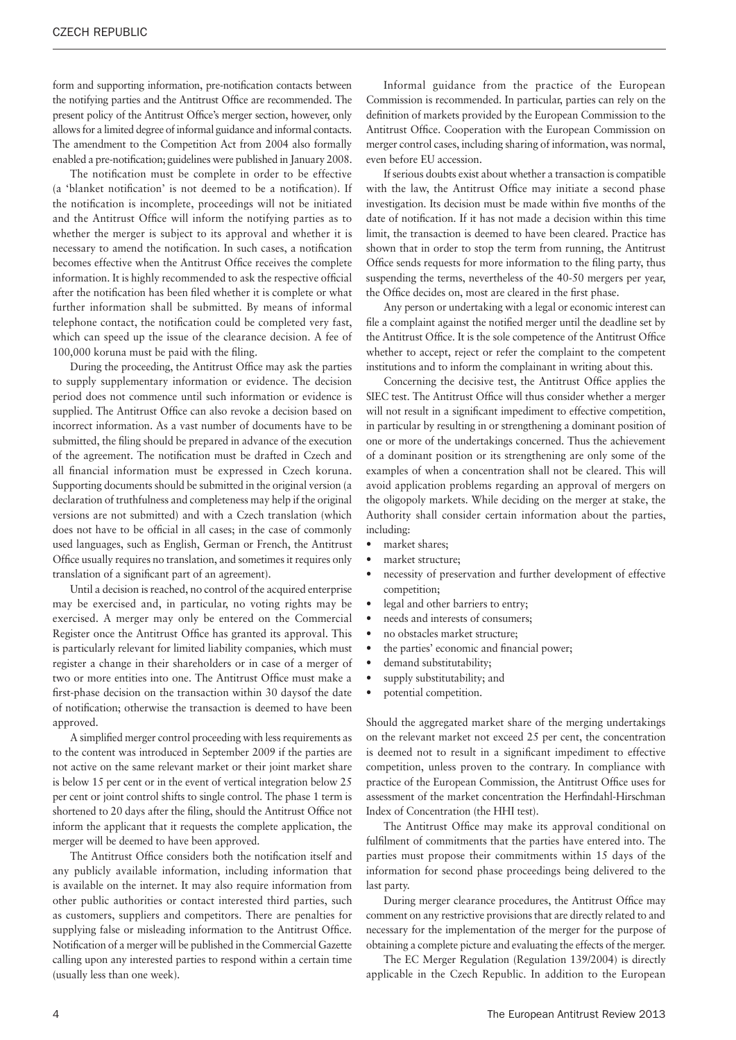form and supporting information, pre-notification contacts between the notifying parties and the Antitrust Office are recommended. The present policy of the Antitrust Office's merger section, however, only allows for a limited degree of informal guidance and informal contacts. The amendment to the Competition Act from 2004 also formally enabled a pre-notification; guidelines were published in January 2008.

The notification must be complete in order to be effective (a 'blanket notification' is not deemed to be a notification). If the notification is incomplete, proceedings will not be initiated and the Antitrust Office will inform the notifying parties as to whether the merger is subject to its approval and whether it is necessary to amend the notification. In such cases, a notification becomes effective when the Antitrust Office receives the complete information. It is highly recommended to ask the respective official after the notification has been filed whether it is complete or what further information shall be submitted. By means of informal telephone contact, the notification could be completed very fast, which can speed up the issue of the clearance decision. A fee of 100,000 koruna must be paid with the filing.

During the proceeding, the Antitrust Office may ask the parties to supply supplementary information or evidence. The decision period does not commence until such information or evidence is supplied. The Antitrust Office can also revoke a decision based on incorrect information. As a vast number of documents have to be submitted, the filing should be prepared in advance of the execution of the agreement. The notification must be drafted in Czech and all financial information must be expressed in Czech koruna. Supporting documents should be submitted in the original version (a declaration of truthfulness and completeness may help if the original versions are not submitted) and with a Czech translation (which does not have to be official in all cases; in the case of commonly used languages, such as English, German or French, the Antitrust Office usually requires no translation, and sometimes it requires only translation of a significant part of an agreement).

Until a decision is reached, no control of the acquired enterprise may be exercised and, in particular, no voting rights may be exercised. A merger may only be entered on the Commercial Register once the Antitrust Office has granted its approval. This is particularly relevant for limited liability companies, which must register a change in their shareholders or in case of a merger of two or more entities into one. The Antitrust Office must make a first-phase decision on the transaction within 30 daysof the date of notification; otherwise the transaction is deemed to have been approved.

A simplified merger control proceeding with less requirements as to the content was introduced in September 2009 if the parties are not active on the same relevant market or their joint market share is below 15 per cent or in the event of vertical integration below 25 per cent or joint control shifts to single control. The phase 1 term is shortened to 20 days after the filing, should the Antitrust Office not inform the applicant that it requests the complete application, the merger will be deemed to have been approved.

The Antitrust Office considers both the notification itself and any publicly available information, including information that is available on the internet. It may also require information from other public authorities or contact interested third parties, such as customers, suppliers and competitors. There are penalties for supplying false or misleading information to the Antitrust Office. Notification of a merger will be published in the Commercial Gazette calling upon any interested parties to respond within a certain time (usually less than one week).

Informal guidance from the practice of the European Commission is recommended. In particular, parties can rely on the definition of markets provided by the European Commission to the Antitrust Office. Cooperation with the European Commission on merger control cases, including sharing of information, was normal, even before EU accession.

If serious doubts exist about whether a transaction is compatible with the law, the Antitrust Office may initiate a second phase investigation. Its decision must be made within five months of the date of notification. If it has not made a decision within this time limit, the transaction is deemed to have been cleared. Practice has shown that in order to stop the term from running, the Antitrust Office sends requests for more information to the filing party, thus suspending the terms, nevertheless of the 40-50 mergers per year, the Office decides on, most are cleared in the first phase.

Any person or undertaking with a legal or economic interest can file a complaint against the notified merger until the deadline set by the Antitrust Office. It is the sole competence of the Antitrust Office whether to accept, reject or refer the complaint to the competent institutions and to inform the complainant in writing about this.

Concerning the decisive test, the Antitrust Office applies the SIEC test. The Antitrust Office will thus consider whether a merger will not result in a significant impediment to effective competition, in particular by resulting in or strengthening a dominant position of one or more of the undertakings concerned. Thus the achievement of a dominant position or its strengthening are only some of the examples of when a concentration shall not be cleared. This will avoid application problems regarding an approval of mergers on the oligopoly markets. While deciding on the merger at stake, the Authority shall consider certain information about the parties, including:

- market shares;
- market structure:
- necessity of preservation and further development of effective competition;
- legal and other barriers to entry;
- needs and interests of consumers;
- no obstacles market structure;
- the parties' economic and financial power;
- demand substitutability;
- supply substitutability; and
- potential competition.

Should the aggregated market share of the merging undertakings on the relevant market not exceed 25 per cent, the concentration is deemed not to result in a significant impediment to effective competition, unless proven to the contrary. In compliance with practice of the European Commission, the Antitrust Office uses for assessment of the market concentration the Herfindahl-Hirschman Index of Concentration (the HHI test).

The Antitrust Office may make its approval conditional on fulfilment of commitments that the parties have entered into. The parties must propose their commitments within 15 days of the information for second phase proceedings being delivered to the last party.

During merger clearance procedures, the Antitrust Office may comment on any restrictive provisions that are directly related to and necessary for the implementation of the merger for the purpose of obtaining a complete picture and evaluating the effects of the merger.

The EC Merger Regulation (Regulation 139/2004) is directly applicable in the Czech Republic. In addition to the European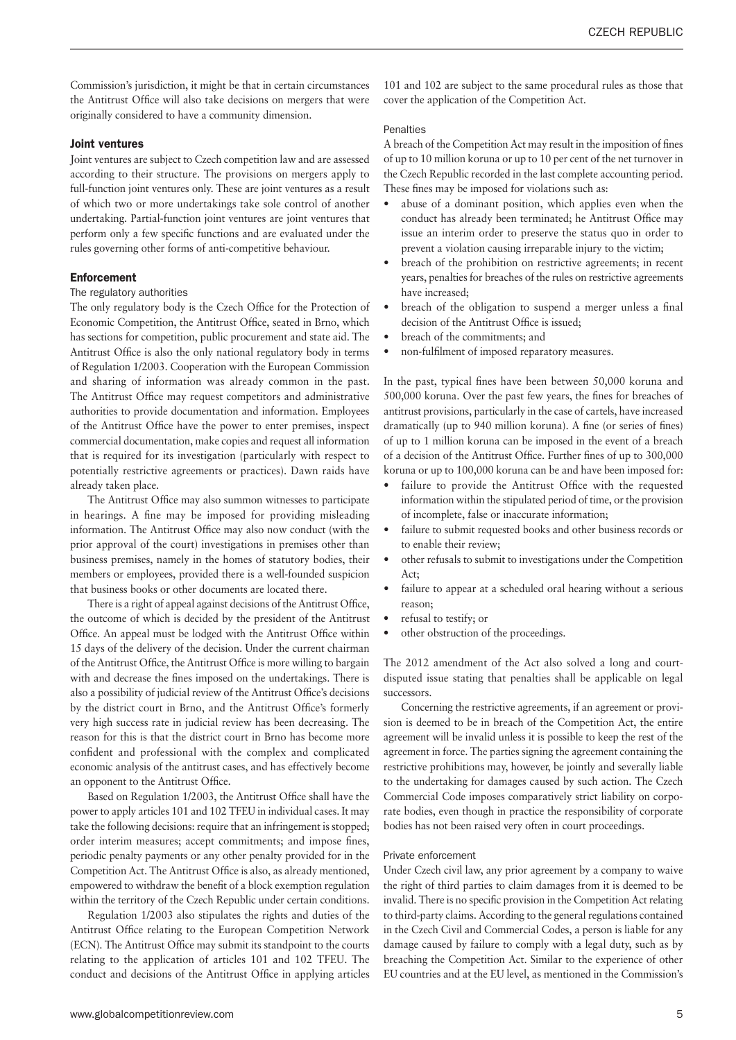Commission's jurisdiction, it might be that in certain circumstances the Antitrust Office will also take decisions on mergers that were originally considered to have a community dimension.

#### Joint ventures

Joint ventures are subject to Czech competition law and are assessed according to their structure. The provisions on mergers apply to full-function joint ventures only. These are joint ventures as a result of which two or more undertakings take sole control of another undertaking. Partial-function joint ventures are joint ventures that perform only a few specific functions and are evaluated under the rules governing other forms of anti-competitive behaviour.

# **Enforcement**

#### The regulatory authorities

The only regulatory body is the Czech Office for the Protection of Economic Competition, the Antitrust Office, seated in Brno, which has sections for competition, public procurement and state aid. The Antitrust Office is also the only national regulatory body in terms of Regulation 1/2003. Cooperation with the European Commission and sharing of information was already common in the past. The Antitrust Office may request competitors and administrative authorities to provide documentation and information. Employees of the Antitrust Office have the power to enter premises, inspect commercial documentation, make copies and request all information that is required for its investigation (particularly with respect to potentially restrictive agreements or practices). Dawn raids have already taken place.

The Antitrust Office may also summon witnesses to participate in hearings. A fine may be imposed for providing misleading information. The Antitrust Office may also now conduct (with the prior approval of the court) investigations in premises other than business premises, namely in the homes of statutory bodies, their members or employees, provided there is a well-founded suspicion that business books or other documents are located there.

There is a right of appeal against decisions of the Antitrust Office, the outcome of which is decided by the president of the Antitrust Office. An appeal must be lodged with the Antitrust Office within 15 days of the delivery of the decision. Under the current chairman of the Antitrust Office, the Antitrust Office is more willing to bargain with and decrease the fines imposed on the undertakings. There is also a possibility of judicial review of the Antitrust Office's decisions by the district court in Brno, and the Antitrust Office's formerly very high success rate in judicial review has been decreasing. The reason for this is that the district court in Brno has become more confident and professional with the complex and complicated economic analysis of the antitrust cases, and has effectively become an opponent to the Antitrust Office.

Based on Regulation 1/2003, the Antitrust Office shall have the power to apply articles 101 and 102 TFEU in individual cases. It may take the following decisions: require that an infringement is stopped; order interim measures; accept commitments; and impose fines, periodic penalty payments or any other penalty provided for in the Competition Act. The Antitrust Office is also, as already mentioned, empowered to withdraw the benefit of a block exemption regulation within the territory of the Czech Republic under certain conditions.

Regulation 1/2003 also stipulates the rights and duties of the Antitrust Office relating to the European Competition Network (ECN). The Antitrust Office may submit its standpoint to the courts relating to the application of articles 101 and 102 TFEU. The conduct and decisions of the Antitrust Office in applying articles 101 and 102 are subject to the same procedural rules as those that cover the application of the Competition Act.

# Penalties

A breach of the Competition Act may result in the imposition of fines of up to 10 million koruna or up to 10 per cent of the net turnover in the Czech Republic recorded in the last complete accounting period. These fines may be imposed for violations such as:

- abuse of a dominant position, which applies even when the conduct has already been terminated; he Antitrust Office may issue an interim order to preserve the status quo in order to prevent a violation causing irreparable injury to the victim;
- breach of the prohibition on restrictive agreements; in recent years, penalties for breaches of the rules on restrictive agreements have increased;
- breach of the obligation to suspend a merger unless a final decision of the Antitrust Office is issued;
- breach of the commitments: and
- non-fulfilment of imposed reparatory measures.

In the past, typical fines have been between 50,000 koruna and 500,000 koruna. Over the past few years, the fines for breaches of antitrust provisions, particularly in the case of cartels, have increased dramatically (up to 940 million koruna). A fine (or series of fines) of up to 1 million koruna can be imposed in the event of a breach of a decision of the Antitrust Office. Further fines of up to 300,000 koruna or up to 100,000 koruna can be and have been imposed for:

- failure to provide the Antitrust Office with the requested information within the stipulated period of time, or the provision of incomplete, false or inaccurate information;
- • failure to submit requested books and other business records or to enable their review;
- other refusals to submit to investigations under the Competition Act;
- failure to appear at a scheduled oral hearing without a serious reason;
- refusal to testify; or
- other obstruction of the proceedings.

The 2012 amendment of the Act also solved a long and courtdisputed issue stating that penalties shall be applicable on legal successors.

Concerning the restrictive agreements, if an agreement or provision is deemed to be in breach of the Competition Act, the entire agreement will be invalid unless it is possible to keep the rest of the agreement in force. The parties signing the agreement containing the restrictive prohibitions may, however, be jointly and severally liable to the undertaking for damages caused by such action. The Czech Commercial Code imposes comparatively strict liability on corporate bodies, even though in practice the responsibility of corporate bodies has not been raised very often in court proceedings.

## Private enforcement

Under Czech civil law, any prior agreement by a company to waive the right of third parties to claim damages from it is deemed to be invalid. There is no specific provision in the Competition Act relating to third-party claims. According to the general regulations contained in the Czech Civil and Commercial Codes, a person is liable for any damage caused by failure to comply with a legal duty, such as by breaching the Competition Act. Similar to the experience of other EU countries and at the EU level, as mentioned in the Commission's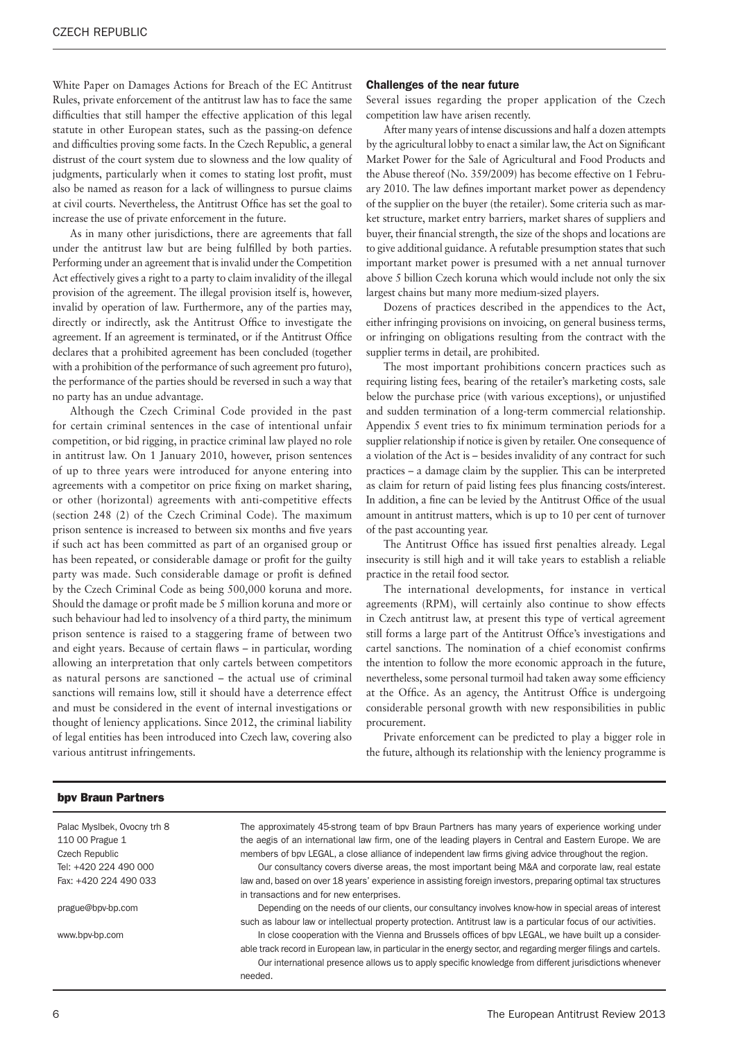White Paper on Damages Actions for Breach of the EC Antitrust Rules, private enforcement of the antitrust law has to face the same difficulties that still hamper the effective application of this legal statute in other European states, such as the passing-on defence and difficulties proving some facts. In the Czech Republic, a general distrust of the court system due to slowness and the low quality of judgments, particularly when it comes to stating lost profit, must also be named as reason for a lack of willingness to pursue claims at civil courts. Nevertheless, the Antitrust Office has set the goal to increase the use of private enforcement in the future.

As in many other jurisdictions, there are agreements that fall under the antitrust law but are being fulfilled by both parties. Performing under an agreement that is invalid under the Competition Act effectively gives a right to a party to claim invalidity of the illegal provision of the agreement. The illegal provision itself is, however, invalid by operation of law. Furthermore, any of the parties may, directly or indirectly, ask the Antitrust Office to investigate the agreement. If an agreement is terminated, or if the Antitrust Office declares that a prohibited agreement has been concluded (together with a prohibition of the performance of such agreement pro futuro), the performance of the parties should be reversed in such a way that no party has an undue advantage.

Although the Czech Criminal Code provided in the past for certain criminal sentences in the case of intentional unfair competition, or bid rigging, in practice criminal law played no role in antitrust law. On 1 January 2010, however, prison sentences of up to three years were introduced for anyone entering into agreements with a competitor on price fixing on market sharing, or other (horizontal) agreements with anti-competitive effects (section 248 (2) of the Czech Criminal Code). The maximum prison sentence is increased to between six months and five years if such act has been committed as part of an organised group or has been repeated, or considerable damage or profit for the guilty party was made. Such considerable damage or profit is defined by the Czech Criminal Code as being 500,000 koruna and more. Should the damage or profit made be 5 million koruna and more or such behaviour had led to insolvency of a third party, the minimum prison sentence is raised to a staggering frame of between two and eight years. Because of certain flaws – in particular, wording allowing an interpretation that only cartels between competitors as natural persons are sanctioned – the actual use of criminal sanctions will remains low, still it should have a deterrence effect and must be considered in the event of internal investigations or thought of leniency applications. Since 2012, the criminal liability of legal entities has been introduced into Czech law, covering also various antitrust infringements.

#### Challenges of the near future

Several issues regarding the proper application of the Czech competition law have arisen recently.

After many years of intense discussions and half a dozen attempts by the agricultural lobby to enact a similar law, the Act on Significant Market Power for the Sale of Agricultural and Food Products and the Abuse thereof (No. 359/2009) has become effective on 1 February 2010. The law defines important market power as dependency of the supplier on the buyer (the retailer). Some criteria such as market structure, market entry barriers, market shares of suppliers and buyer, their financial strength, the size of the shops and locations are to give additional guidance. A refutable presumption states that such important market power is presumed with a net annual turnover above 5 billion Czech koruna which would include not only the six largest chains but many more medium-sized players.

Dozens of practices described in the appendices to the Act, either infringing provisions on invoicing, on general business terms, or infringing on obligations resulting from the contract with the supplier terms in detail, are prohibited.

The most important prohibitions concern practices such as requiring listing fees, bearing of the retailer's marketing costs, sale below the purchase price (with various exceptions), or unjustified and sudden termination of a long-term commercial relationship. Appendix 5 event tries to fix minimum termination periods for a supplier relationship if notice is given by retailer. One consequence of a violation of the Act is – besides invalidity of any contract for such practices – a damage claim by the supplier. This can be interpreted as claim for return of paid listing fees plus financing costs/interest. In addition, a fine can be levied by the Antitrust Office of the usual amount in antitrust matters, which is up to 10 per cent of turnover of the past accounting year.

The Antitrust Office has issued first penalties already. Legal insecurity is still high and it will take years to establish a reliable practice in the retail food sector.

The international developments, for instance in vertical agreements (RPM), will certainly also continue to show effects in Czech antitrust law, at present this type of vertical agreement still forms a large part of the Antitrust Office's investigations and cartel sanctions. The nomination of a chief economist confirms the intention to follow the more economic approach in the future, nevertheless, some personal turmoil had taken away some efficiency at the Office. As an agency, the Antitrust Office is undergoing considerable personal growth with new responsibilities in public procurement.

Private enforcement can be predicted to play a bigger role in the future, although its relationship with the leniency programme is

#### bpv Braun Partners

Palac Myslbek, Ovocny trh 8 110 00 Prague 1 Czech Republic Tel: +420 224 490 000 Fax: +420 224 490 033

prague@bpv-bp.com

www.bpv-bp.com

The approximately 45-strong team of bpv Braun Partners has many years of experience working under the aegis of an international law firm, one of the leading players in Central and Eastern Europe. We are members of bpv LEGAL, a close alliance of independent law firms giving advice throughout the region.

Our consultancy covers diverse areas, the most important being M&A and corporate law, real estate law and, based on over 18 years' experience in assisting foreign investors, preparing optimal tax structures in transactions and for new enterprises.

Depending on the needs of our clients, our consultancy involves know-how in special areas of interest such as labour law or intellectual property protection. Antitrust law is a particular focus of our activities.

In close cooperation with the Vienna and Brussels offices of bpv LEGAL, we have built up a considerable track record in European law, in particular in the energy sector, and regarding merger filings and cartels.

Our international presence allows us to apply specific knowledge from different jurisdictions whenever needed.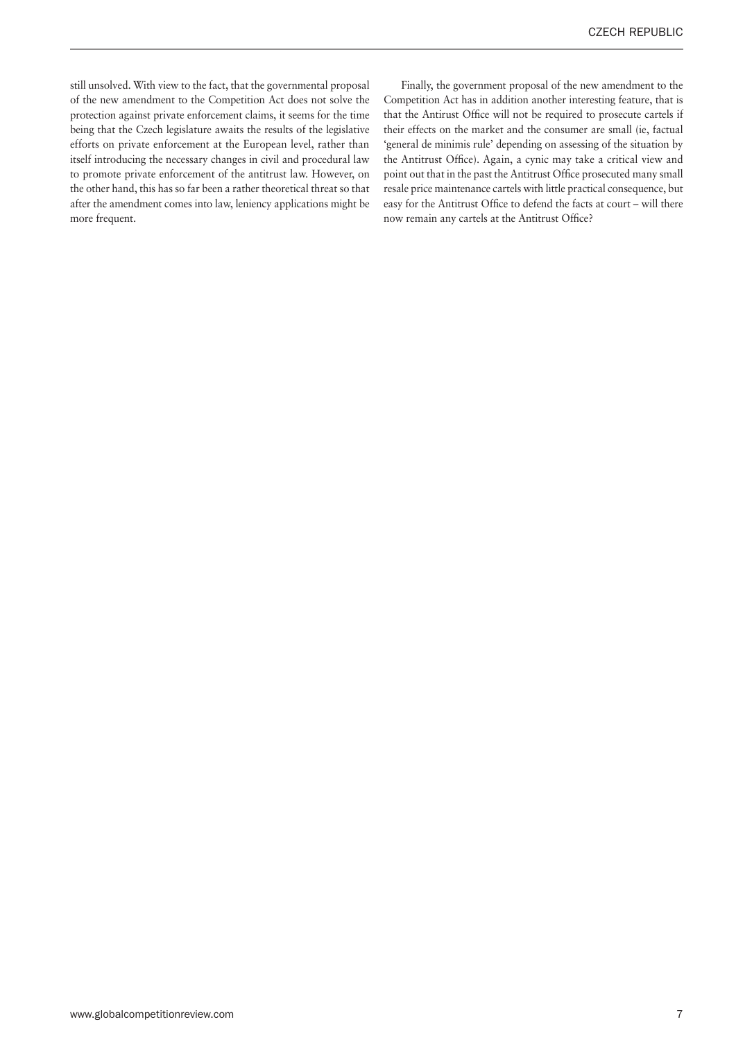still unsolved. With view to the fact, that the governmental proposal of the new amendment to the Competition Act does not solve the protection against private enforcement claims, it seems for the time being that the Czech legislature awaits the results of the legislative efforts on private enforcement at the European level, rather than itself introducing the necessary changes in civil and procedural law to promote private enforcement of the antitrust law. However, on the other hand, this has so far been a rather theoretical threat so that after the amendment comes into law, leniency applications might be more frequent.

Finally, the government proposal of the new amendment to the Competition Act has in addition another interesting feature, that is that the Antirust Office will not be required to prosecute cartels if their effects on the market and the consumer are small (ie, factual 'general de minimis rule' depending on assessing of the situation by the Antitrust Office). Again, a cynic may take a critical view and point out that in the past the Antitrust Office prosecuted many small resale price maintenance cartels with little practical consequence, but easy for the Antitrust Office to defend the facts at court – will there now remain any cartels at the Antitrust Office?